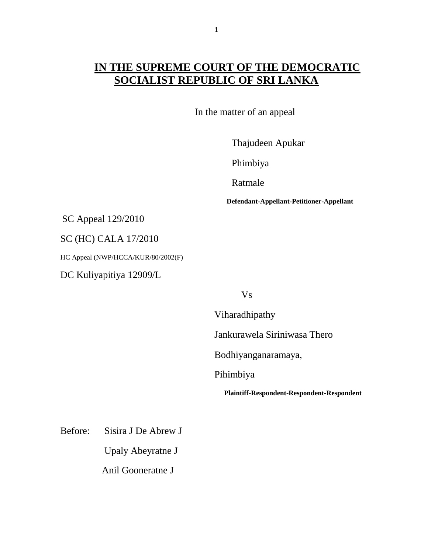## **IN THE SUPREME COURT OF THE DEMOCRATIC SOCIALIST REPUBLIC OF SRI LANKA**

In the matter of an appeal

Thajudeen Apukar

Phimbiya

Ratmale

**Defendant-Appellant-Petitioner-Appellant**

SC Appeal 129/2010

SC (HC) CALA 17/2010

HC Appeal (NWP/HCCA/KUR/80/2002(F)

DC Kuliyapitiya 12909/L

Vs

Viharadhipathy

Jankurawela Siriniwasa Thero

Bodhiyanganaramaya,

Pihimbiya

**Plaintiff-Respondent-Respondent-Respondent**

Before: Sisira J De Abrew J

Upaly Abeyratne J

Anil Gooneratne J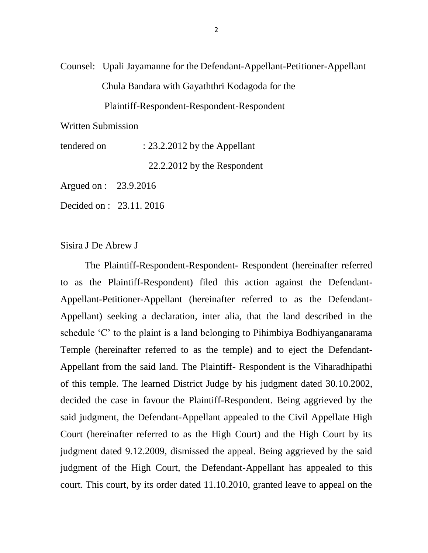Counsel: Upali Jayamanne for the Defendant-Appellant-Petitioner-Appellant Chula Bandara with Gayaththri Kodagoda for the

Plaintiff-Respondent-Respondent-Respondent

Written Submission

tendered on : 23.2.2012 by the Appellant

22.2.2012 by the Respondent

Argued on : 23.9.2016

Decided on : 23.11. 2016

Sisira J De Abrew J

 The Plaintiff-Respondent-Respondent- Respondent (hereinafter referred to as the Plaintiff-Respondent) filed this action against the Defendant-Appellant-Petitioner-Appellant (hereinafter referred to as the Defendant-Appellant) seeking a declaration, inter alia, that the land described in the schedule 'C' to the plaint is a land belonging to Pihimbiya Bodhiyanganarama Temple (hereinafter referred to as the temple) and to eject the Defendant-Appellant from the said land. The Plaintiff- Respondent is the Viharadhipathi of this temple. The learned District Judge by his judgment dated 30.10.2002, decided the case in favour the Plaintiff-Respondent. Being aggrieved by the said judgment, the Defendant-Appellant appealed to the Civil Appellate High Court (hereinafter referred to as the High Court) and the High Court by its judgment dated 9.12.2009, dismissed the appeal. Being aggrieved by the said judgment of the High Court, the Defendant-Appellant has appealed to this court. This court, by its order dated 11.10.2010, granted leave to appeal on the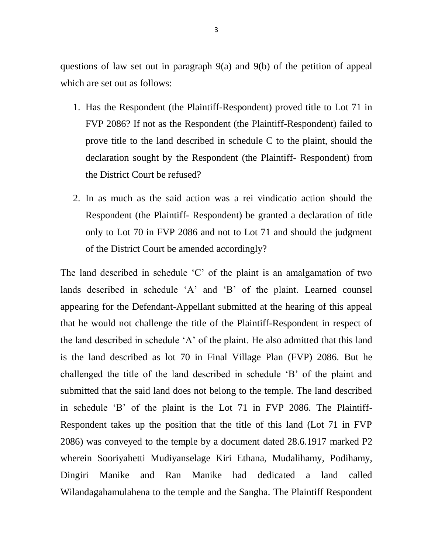questions of law set out in paragraph 9(a) and 9(b) of the petition of appeal which are set out as follows:

- 1. Has the Respondent (the Plaintiff-Respondent) proved title to Lot 71 in FVP 2086? If not as the Respondent (the Plaintiff-Respondent) failed to prove title to the land described in schedule C to the plaint, should the declaration sought by the Respondent (the Plaintiff- Respondent) from the District Court be refused?
- 2. In as much as the said action was a rei vindicatio action should the Respondent (the Plaintiff- Respondent) be granted a declaration of title only to Lot 70 in FVP 2086 and not to Lot 71 and should the judgment of the District Court be amended accordingly?

The land described in schedule 'C' of the plaint is an amalgamation of two lands described in schedule 'A' and 'B' of the plaint. Learned counsel appearing for the Defendant-Appellant submitted at the hearing of this appeal that he would not challenge the title of the Plaintiff-Respondent in respect of the land described in schedule 'A' of the plaint. He also admitted that this land is the land described as lot 70 in Final Village Plan (FVP) 2086. But he challenged the title of the land described in schedule 'B' of the plaint and submitted that the said land does not belong to the temple. The land described in schedule 'B' of the plaint is the Lot 71 in FVP 2086. The Plaintiff-Respondent takes up the position that the title of this land (Lot 71 in FVP 2086) was conveyed to the temple by a document dated 28.6.1917 marked P2 wherein Sooriyahetti Mudiyanselage Kiri Ethana, Mudalihamy, Podihamy, Dingiri Manike and Ran Manike had dedicated a land called Wilandagahamulahena to the temple and the Sangha. The Plaintiff Respondent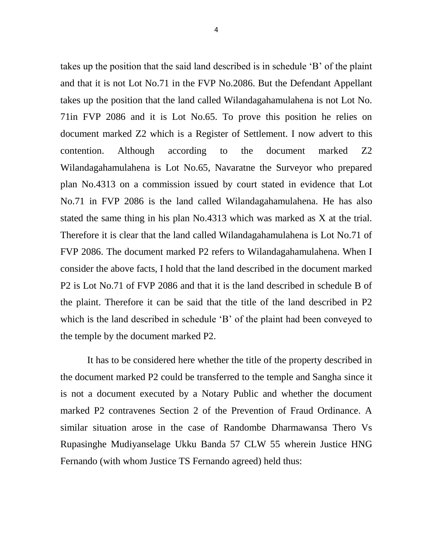takes up the position that the said land described is in schedule 'B' of the plaint and that it is not Lot No.71 in the FVP No.2086. But the Defendant Appellant takes up the position that the land called Wilandagahamulahena is not Lot No. 71in FVP 2086 and it is Lot No.65. To prove this position he relies on document marked Z2 which is a Register of Settlement. I now advert to this contention. Although according to the document marked Z2 Wilandagahamulahena is Lot No.65, Navaratne the Surveyor who prepared plan No.4313 on a commission issued by court stated in evidence that Lot No.71 in FVP 2086 is the land called Wilandagahamulahena. He has also stated the same thing in his plan No.4313 which was marked as X at the trial. Therefore it is clear that the land called Wilandagahamulahena is Lot No.71 of FVP 2086. The document marked P2 refers to Wilandagahamulahena. When I consider the above facts, I hold that the land described in the document marked P2 is Lot No.71 of FVP 2086 and that it is the land described in schedule B of the plaint. Therefore it can be said that the title of the land described in P2 which is the land described in schedule 'B' of the plaint had been conveyed to the temple by the document marked P2.

 It has to be considered here whether the title of the property described in the document marked P2 could be transferred to the temple and Sangha since it is not a document executed by a Notary Public and whether the document marked P2 contravenes Section 2 of the Prevention of Fraud Ordinance. A similar situation arose in the case of Randombe Dharmawansa Thero Vs Rupasinghe Mudiyanselage Ukku Banda 57 CLW 55 wherein Justice HNG Fernando (with whom Justice TS Fernando agreed) held thus: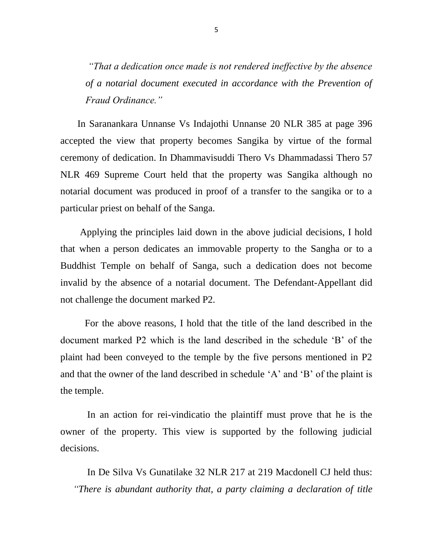*"That a dedication once made is not rendered ineffective by the absence of a notarial document executed in accordance with the Prevention of Fraud Ordinance."*

 In Saranankara Unnanse Vs Indajothi Unnanse 20 NLR 385 at page 396 accepted the view that property becomes Sangika by virtue of the formal ceremony of dedication. In Dhammavisuddi Thero Vs Dhammadassi Thero 57 NLR 469 Supreme Court held that the property was Sangika although no notarial document was produced in proof of a transfer to the sangika or to a particular priest on behalf of the Sanga.

 Applying the principles laid down in the above judicial decisions, I hold that when a person dedicates an immovable property to the Sangha or to a Buddhist Temple on behalf of Sanga, such a dedication does not become invalid by the absence of a notarial document. The Defendant-Appellant did not challenge the document marked P2.

 For the above reasons, I hold that the title of the land described in the document marked P2 which is the land described in the schedule 'B' of the plaint had been conveyed to the temple by the five persons mentioned in P2 and that the owner of the land described in schedule 'A' and 'B' of the plaint is the temple.

 In an action for rei-vindicatio the plaintiff must prove that he is the owner of the property. This view is supported by the following judicial decisions.

 In De Silva Vs Gunatilake 32 NLR 217 at 219 Macdonell CJ held thus: *"There is abundant authority that, a party claiming a declaration of title*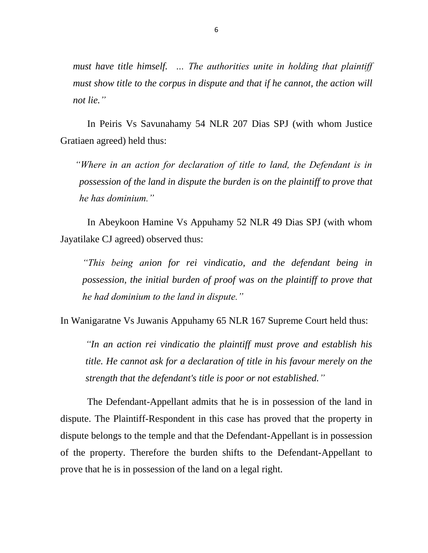*must have title himself. … The authorities unite in holding that plaintiff must show title to the corpus in dispute and that if he cannot, the action will not lie."*

 In Peiris Vs Savunahamy 54 NLR 207 Dias SPJ (with whom Justice Gratiaen agreed) held thus:

 *"Where in an action for declaration of title to land, the Defendant is in possession of the land in dispute the burden is on the plaintiff to prove that he has dominium."*

 In Abeykoon Hamine Vs Appuhamy 52 NLR 49 Dias SPJ (with whom Jayatilake CJ agreed) observed thus:

*"This being anion for rei vindicatio, and the defendant being in possession, the initial burden of proof was on the plaintiff to prove that he had dominium to the land in dispute."*

In Wanigaratne Vs Juwanis Appuhamy 65 NLR 167 Supreme Court held thus:

*"In an action rei vindicatio the plaintiff must prove and establish his title. He cannot ask for a declaration of title in his favour merely on the strength that the defendant's title is poor or not established."*

 The Defendant-Appellant admits that he is in possession of the land in dispute. The Plaintiff-Respondent in this case has proved that the property in dispute belongs to the temple and that the Defendant-Appellant is in possession of the property. Therefore the burden shifts to the Defendant-Appellant to prove that he is in possession of the land on a legal right.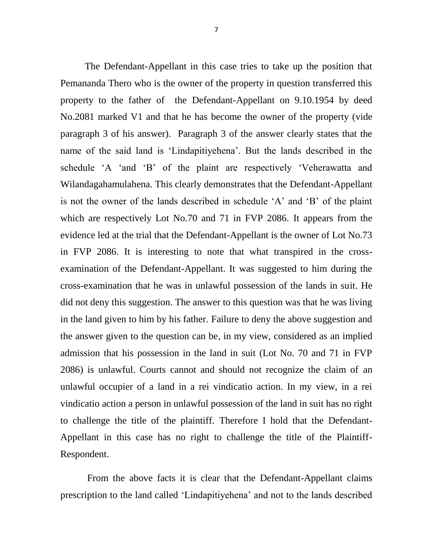The Defendant-Appellant in this case tries to take up the position that Pemananda Thero who is the owner of the property in question transferred this property to the father of the Defendant-Appellant on 9.10.1954 by deed No.2081 marked V1 and that he has become the owner of the property (vide paragraph 3 of his answer). Paragraph 3 of the answer clearly states that the name of the said land is 'Lindapitiyehena'. But the lands described in the schedule 'A 'and 'B' of the plaint are respectively 'Veherawatta and Wilandagahamulahena. This clearly demonstrates that the Defendant-Appellant is not the owner of the lands described in schedule 'A' and 'B' of the plaint which are respectively Lot No.70 and 71 in FVP 2086. It appears from the evidence led at the trial that the Defendant-Appellant is the owner of Lot No.73 in FVP 2086. It is interesting to note that what transpired in the crossexamination of the Defendant-Appellant. It was suggested to him during the cross-examination that he was in unlawful possession of the lands in suit. He did not deny this suggestion. The answer to this question was that he was living in the land given to him by his father. Failure to deny the above suggestion and the answer given to the question can be, in my view, considered as an implied admission that his possession in the land in suit (Lot No. 70 and 71 in FVP 2086) is unlawful. Courts cannot and should not recognize the claim of an unlawful occupier of a land in a rei vindicatio action. In my view, in a rei vindicatio action a person in unlawful possession of the land in suit has no right to challenge the title of the plaintiff. Therefore I hold that the Defendant-Appellant in this case has no right to challenge the title of the Plaintiff-Respondent.

 From the above facts it is clear that the Defendant-Appellant claims prescription to the land called 'Lindapitiyehena' and not to the lands described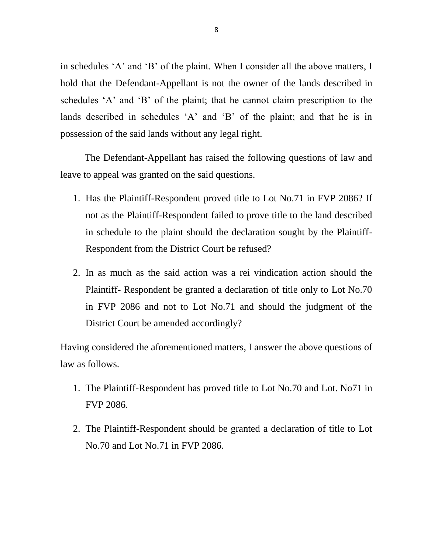in schedules 'A' and 'B' of the plaint. When I consider all the above matters, I hold that the Defendant-Appellant is not the owner of the lands described in schedules 'A' and 'B' of the plaint; that he cannot claim prescription to the lands described in schedules 'A' and 'B' of the plaint; and that he is in possession of the said lands without any legal right.

 The Defendant-Appellant has raised the following questions of law and leave to appeal was granted on the said questions.

- 1. Has the Plaintiff-Respondent proved title to Lot No.71 in FVP 2086? If not as the Plaintiff-Respondent failed to prove title to the land described in schedule to the plaint should the declaration sought by the Plaintiff-Respondent from the District Court be refused?
- 2. In as much as the said action was a rei vindication action should the Plaintiff- Respondent be granted a declaration of title only to Lot No.70 in FVP 2086 and not to Lot No.71 and should the judgment of the District Court be amended accordingly?

Having considered the aforementioned matters, I answer the above questions of law as follows.

- 1. The Plaintiff-Respondent has proved title to Lot No.70 and Lot. No71 in FVP 2086.
- 2. The Plaintiff-Respondent should be granted a declaration of title to Lot No.70 and Lot No.71 in FVP 2086.